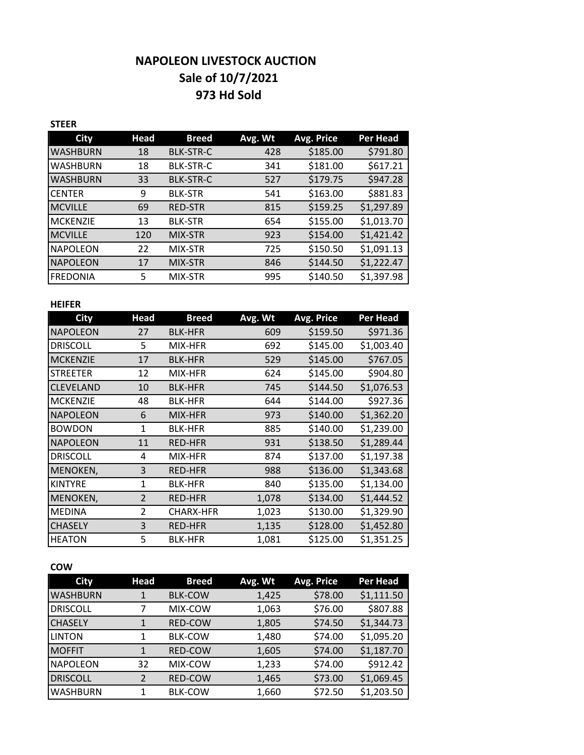# **NAPOLEON LIVESTOCK AUCTION Sale of 10/7/2021 973 Hd Sold**

## **STEER**

| <b>City</b>     | Head | <b>Breed</b>     | Avg. Wt | Avg. Price | Per Head   |
|-----------------|------|------------------|---------|------------|------------|
| <b>WASHBURN</b> | 18   | <b>BLK-STR-C</b> | 428     | \$185.00   | \$791.80   |
| <b>WASHBURN</b> | 18   | <b>BLK-STR-C</b> | 341     | \$181.00   | \$617.21   |
| <b>WASHBURN</b> | 33   | <b>BLK-STR-C</b> | 527     | \$179.75   | \$947.28   |
| <b>CENTER</b>   | 9    | <b>BLK-STR</b>   | 541     | \$163.00   | \$881.83   |
| <b>MCVILLE</b>  | 69   | <b>RED-STR</b>   | 815     | \$159.25   | \$1,297.89 |
| <b>MCKENZIE</b> | 13   | <b>BLK-STR</b>   | 654     | \$155.00   | \$1,013.70 |
| <b>MCVILLE</b>  | 120  | MIX-STR          | 923     | \$154.00   | \$1,421.42 |
| <b>NAPOLEON</b> | 22   | MIX-STR          | 725     | \$150.50   | \$1,091.13 |
| <b>NAPOLEON</b> | 17   | MIX-STR          | 846     | \$144.50   | \$1,222.47 |
| <b>FREDONIA</b> | 5    | MIX-STR          | 995     | \$140.50   | \$1,397.98 |

#### **HEIFER**

| City             | <b>Head</b>    | Breed            | Avg. Wt | <b>Avg. Price</b> | Per Head   |
|------------------|----------------|------------------|---------|-------------------|------------|
| <b>NAPOLEON</b>  | 27             | <b>BLK-HFR</b>   | 609     | \$159.50          | \$971.36   |
| <b>DRISCOLL</b>  | 5              | MIX-HFR          | 692     | \$145.00          | \$1,003.40 |
| <b>MCKENZIE</b>  | 17             | <b>BLK-HFR</b>   | 529     | \$145.00          | \$767.05   |
| <b>STREETER</b>  | 12             | MIX-HFR          | 624     | \$145.00          | \$904.80   |
| <b>CLEVELAND</b> | 10             | <b>BLK-HFR</b>   | 745     | \$144.50          | \$1,076.53 |
| <b>MCKENZIE</b>  | 48             | <b>BLK-HFR</b>   | 644     | \$144.00          | \$927.36   |
| <b>NAPOLEON</b>  | 6              | MIX-HFR          | 973     | \$140.00          | \$1,362.20 |
| <b>BOWDON</b>    | 1              | <b>BLK-HFR</b>   | 885     | \$140.00          | \$1,239.00 |
| <b>NAPOLEON</b>  | 11             | <b>RED-HFR</b>   | 931     | \$138.50          | \$1,289.44 |
| <b>DRISCOLL</b>  | 4              | MIX-HFR          | 874     | \$137.00          | \$1,197.38 |
| MENOKEN,         | 3              | <b>RED-HFR</b>   | 988     | \$136.00          | \$1,343.68 |
| <b>KINTYRE</b>   | 1              | <b>BLK-HFR</b>   | 840     | \$135.00          | \$1,134.00 |
| MENOKEN,         | $\overline{2}$ | RED-HFR          | 1,078   | \$134.00          | \$1,444.52 |
| <b>MEDINA</b>    | $\overline{2}$ | <b>CHARX-HFR</b> | 1,023   | \$130.00          | \$1,329.90 |
| <b>CHASELY</b>   | 3              | <b>RED-HFR</b>   | 1,135   | \$128.00          | \$1,452.80 |
| <b>HEATON</b>    | 5              | <b>BLK-HFR</b>   | 1,081   | \$125.00          | \$1,351.25 |

### **COW**

| City            | Head | <b>Breed</b>   | Avg. Wt | Avg. Price | <b>Per Head</b> |
|-----------------|------|----------------|---------|------------|-----------------|
| <b>WASHBURN</b> |      | <b>BLK-COW</b> | 1,425   | \$78.00    | \$1,111.50      |
| <b>DRISCOLL</b> |      | MIX-COW        | 1,063   | \$76.00    | \$807.88        |
| ICHASELY        | 1    | <b>RED-COW</b> | 1,805   | \$74.50    | \$1,344.73      |
| <b>LINTON</b>   | 1    | <b>BLK-COW</b> | 1,480   | \$74.00    | \$1,095.20      |
| <b>IMOFFIT</b>  | 1    | <b>RED-COW</b> | 1,605   | \$74.00    | \$1,187.70      |
| <b>NAPOLEON</b> | 32   | MIX-COW        | 1,233   | \$74.00    | \$912.42        |
| <b>DRISCOLL</b> | 2    | <b>RED-COW</b> | 1,465   | \$73.00    | \$1,069.45      |
| WASHBURN        | 1    | <b>BLK-COW</b> | 1,660   | \$72.50    | \$1,203.50      |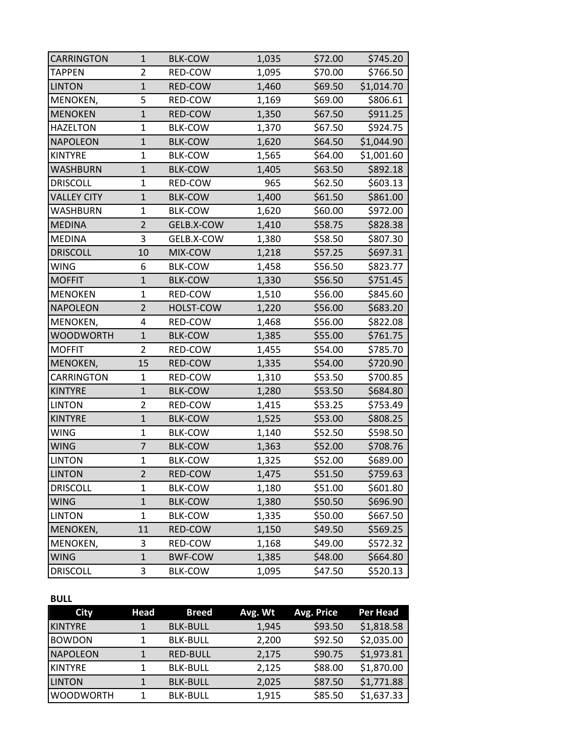| <b>CARRINGTON</b>  | $\mathbf{1}$   | <b>BLK-COW</b> | 1,035 | \$72.00 | \$745.20   |
|--------------------|----------------|----------------|-------|---------|------------|
| <b>TAPPEN</b>      | $\overline{2}$ | RED-COW        | 1,095 | \$70.00 | \$766.50   |
| <b>LINTON</b>      | $\mathbf{1}$   | RED-COW        | 1,460 | \$69.50 | \$1,014.70 |
| MENOKEN,           | 5              | RED-COW        | 1,169 | \$69.00 | \$806.61   |
| <b>MENOKEN</b>     | $\mathbf{1}$   | RED-COW        | 1,350 | \$67.50 | \$911.25   |
| <b>HAZELTON</b>    | $\mathbf{1}$   | <b>BLK-COW</b> | 1,370 | \$67.50 | \$924.75   |
| <b>NAPOLEON</b>    | $\mathbf{1}$   | <b>BLK-COW</b> | 1,620 | \$64.50 | \$1,044.90 |
| <b>KINTYRE</b>     | $\mathbf{1}$   | <b>BLK-COW</b> | 1,565 | \$64.00 | \$1,001.60 |
| <b>WASHBURN</b>    | $\mathbf{1}$   | <b>BLK-COW</b> | 1,405 | \$63.50 | \$892.18   |
| <b>DRISCOLL</b>    | $\mathbf{1}$   | RED-COW        | 965   | \$62.50 | \$603.13   |
| <b>VALLEY CITY</b> | $\mathbf{1}$   | <b>BLK-COW</b> | 1,400 | \$61.50 | \$861.00   |
| WASHBURN           | $\mathbf{1}$   | <b>BLK-COW</b> | 1,620 | \$60.00 | \$972.00   |
| <b>MEDINA</b>      | $\overline{2}$ | GELB.X-COW     | 1,410 | \$58.75 | \$828.38   |
| <b>MEDINA</b>      | 3              | GELB.X-COW     | 1,380 | \$58.50 | \$807.30   |
| <b>DRISCOLL</b>    | 10             | MIX-COW        | 1,218 | \$57.25 | \$697.31   |
| <b>WING</b>        | 6              | <b>BLK-COW</b> | 1,458 | \$56.50 | \$823.77   |
| <b>MOFFIT</b>      | $\mathbf{1}$   | <b>BLK-COW</b> | 1,330 | \$56.50 | \$751.45   |
| <b>MENOKEN</b>     | $\mathbf{1}$   | RED-COW        | 1,510 | \$56.00 | \$845.60   |
| <b>NAPOLEON</b>    | $\overline{2}$ | HOLST-COW      | 1,220 | \$56.00 | \$683.20   |
| MENOKEN,           | 4              | RED-COW        | 1,468 | \$56.00 | \$822.08   |
| <b>WOODWORTH</b>   | $\mathbf{1}$   | <b>BLK-COW</b> | 1,385 | \$55.00 | \$761.75   |
| <b>MOFFIT</b>      | $\overline{2}$ | RED-COW        | 1,455 | \$54.00 | \$785.70   |
| MENOKEN,           | 15             | RED-COW        | 1,335 | \$54.00 | \$720.90   |
| CARRINGTON         | 1              | RED-COW        | 1,310 | \$53.50 | \$700.85   |
| <b>KINTYRE</b>     | $\mathbf{1}$   | <b>BLK-COW</b> | 1,280 | \$53.50 | \$684.80   |
| <b>LINTON</b>      | 2              | RED-COW        | 1,415 | \$53.25 | \$753.49   |
| <b>KINTYRE</b>     | $\mathbf{1}$   | <b>BLK-COW</b> | 1,525 | \$53.00 | \$808.25   |
| <b>WING</b>        | $\mathbf{1}$   | <b>BLK-COW</b> | 1,140 | \$52.50 | \$598.50   |
| <b>WING</b>        | 7              | <b>BLK-COW</b> | 1,363 | \$52.00 | \$708.76   |
| <b>LINTON</b>      | $\mathbf{1}$   | <b>BLK-COW</b> | 1,325 | \$52.00 | \$689.00   |
| <b>LINTON</b>      | $\overline{c}$ | RED-COW        | 1,475 | \$51.50 | \$759.63   |
| <b>DRISCOLL</b>    | 1              | <b>BLK-COW</b> | 1,180 | \$51.00 | \$601.80   |
| <b>WING</b>        | $\mathbf{1}$   | <b>BLK-COW</b> | 1,380 | \$50.50 | \$696.90   |
| <b>LINTON</b>      | $\mathbf{1}$   | <b>BLK-COW</b> | 1,335 | \$50.00 | \$667.50   |
| MENOKEN,           | 11             | RED-COW        | 1,150 | \$49.50 | \$569.25   |
| MENOKEN,           | 3              | RED-COW        | 1,168 | \$49.00 | \$572.32   |
| <b>WING</b>        | $\mathbf{1}$   | <b>BWF-COW</b> | 1,385 | \$48.00 | \$664.80   |
| <b>DRISCOLL</b>    | 3              | <b>BLK-COW</b> | 1,095 | \$47.50 | \$520.13   |

# **BULL**

| <b>City</b>      | Head | <b>Breed</b>    | Avg. Wt | Avg. Price | Per Head   |
|------------------|------|-----------------|---------|------------|------------|
| <b>KINTYRE</b>   |      | <b>BLK-BULL</b> | 1,945   | \$93.50    | \$1,818.58 |
| <b>BOWDON</b>    |      | <b>BLK-BULL</b> | 2,200   | \$92.50    | \$2,035.00 |
| <b>NAPOLEON</b>  | 1    | <b>RED-BULL</b> | 2,175   | \$90.75    | \$1,973.81 |
| <b>KINTYRE</b>   |      | <b>BLK-BULL</b> | 2,125   | \$88.00    | \$1,870.00 |
| <b>LINTON</b>    |      | <b>BLK-BULL</b> | 2,025   | \$87.50    | \$1,771.88 |
| <b>WOODWORTH</b> |      | <b>BLK-BULL</b> | 1,915   | \$85.50    | \$1,637.33 |